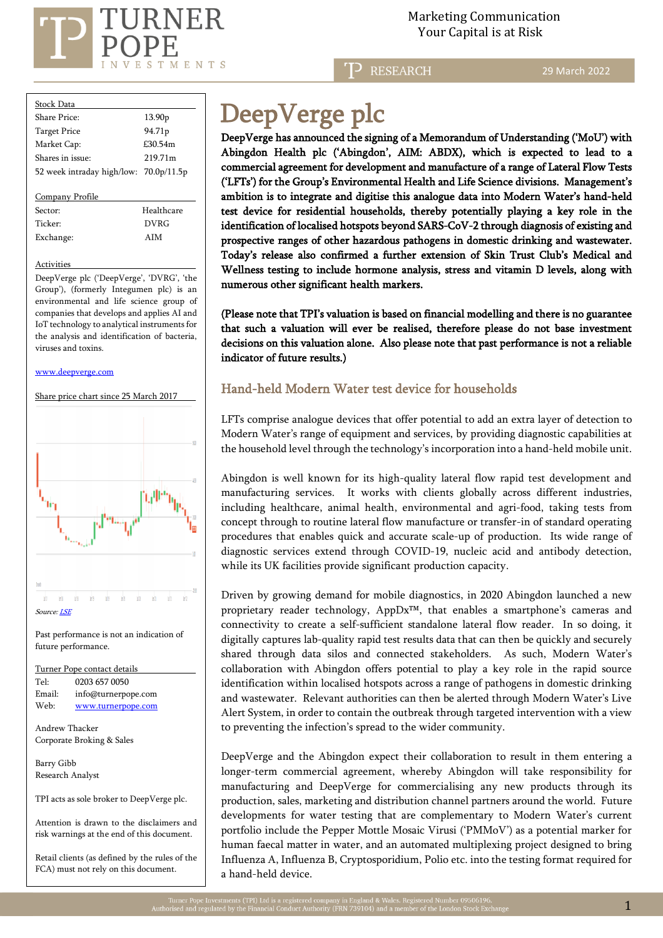

 Marketing Communication  $\mathrm{RNER} \hspace{2.5cm}$ Marketing Communicat<br>Your Capital is at Risk

RESEARCH

29 March 2022

| Stock Data                             |                     |
|----------------------------------------|---------------------|
| Share Price:                           | 13.90 <sub>p</sub>  |
| <b>Target Price</b>                    | 94.71 <sub>p</sub>  |
| Market Cap:                            | £30.54m             |
| Shares in issue:                       | 219 71 <sub>m</sub> |
| 52 week intraday high/low: 70.0p/11.5p |                     |
|                                        |                     |
| Company Profile                        |                     |
| Sector:                                | Healthcare          |
| Ticker <sup>.</sup>                    | DVRG                |
| Exchange:                              | AIM                 |

#### **Activities**

DeepVerge plc ('DeepVerge', 'DVRG', 'the Group'), (formerly Integumen plc) is an environmental and life science group of companies that develops and applies AI and IoT technology to analytical instruments for the analysis and identification of bacteria, viruses and toxins.

#### [www.deepverge.com](http://www.deepverge.com/)



İ

# DeepVerge plc

DeepVerge has announced the signing of a Memorandum of Understanding ('MoU') with Abingdon Health plc ('Abingdon', AIM: ABDX), which is expected to lead to a commercial agreement for development and manufacture of a range of Lateral Flow Tests ('LFTs') for the Group's Environmental Health and Life Science divisions. Management's ambition is to integrate and digitise this analogue data into Modern Water's hand-held test device for residential households, thereby potentially playing a key role in the identification of localised hotspots beyond SARS-CoV-2 through diagnosis of existing and prospective ranges of other hazardous pathogens in domestic drinking and wastewater. Today's release also confirmed a further extension of Skin Trust Club's Medical and Wellness testing to include hormone analysis, stress and vitamin D levels, along with numerous other significant health markers.

(Please note that TPI's valuation is based on financial modelling and there is no guarantee that such a valuation will ever be realised, therefore please do not base investment decisions on this valuation alone. Also please note that past performance is not a reliable indicator of future results.)

## Hand-held Modern Water test device for households

LFTs comprise analogue devices that offer potential to add an extra layer of detection to Modern Water's range of equipment and services, by providing diagnostic capabilities at the household level through the technology's incorporation into a hand-held mobile unit.

Abingdon is well known for its high-quality lateral flow rapid test development and manufacturing services. It works with clients globally across different industries, including healthcare, animal health, environmental and agri-food, taking tests from concept through to routine lateral flow manufacture or transfer-in of standard operating procedures that enables quick and accurate scale-up of production. Its wide range of diagnostic services extend through COVID-19, nucleic acid and antibody detection, while its UK facilities provide significant production capacity.

Driven by growing demand for mobile diagnostics, in 2020 Abingdon launched a new proprietary reader technology, AppDx™, that enables a smartphone's cameras and connectivity to create a self-sufficient standalone lateral flow reader. In so doing, it digitally captures lab-quality rapid test results data that can then be quickly and securely shared through data silos and connected stakeholders. As such, Modern Water's collaboration with Abingdon offers potential to play a key role in the rapid source identification within localised hotspots across a range of pathogens in domestic drinking and wastewater. Relevant authorities can then be alerted through Modern Water's Live Alert System, in order to contain the outbreak through targeted intervention with a view to preventing the infection's spread to the wider community.

DeepVerge and the Abingdon expect their collaboration to result in them entering a longer-term commercial agreement, whereby Abingdon will take responsibility for manufacturing and DeepVerge for commercialising any new products through its production, sales, marketing and distribution channel partners around the world. Future developments for water testing that are complementary to Modern Water's current portfolio include the Pepper Mottle Mosaic Virusi ('PMMoV') as a potential marker for human faecal matter in water, and an automated multiplexing project designed to bring Influenza A, Influenza B, Cryptosporidium, Polio etc. into the testing format required for a hand-held device.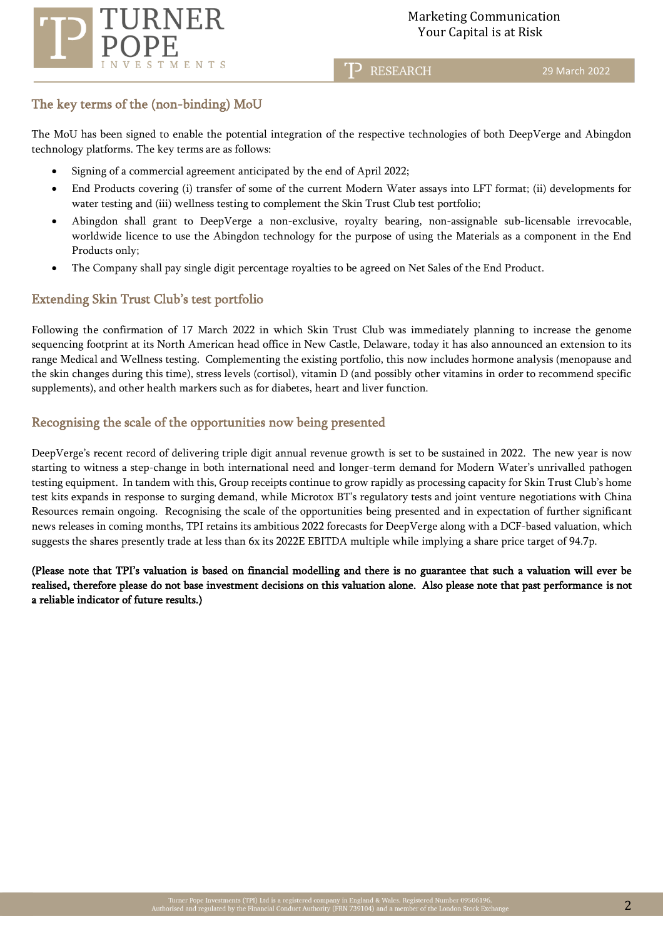

**P** RESEARCH

## The key terms of the (non-binding) MoU

The MoU has been signed to enable the potential integration of the respective technologies of both DeepVerge and Abingdon technology platforms. The key terms are as follows:

- Signing of a commercial agreement anticipated by the end of April 2022;
- End Products covering (i) transfer of some of the current Modern Water assays into LFT format; (ii) developments for water testing and (iii) wellness testing to complement the Skin Trust Club test portfolio;
- Abingdon shall grant to DeepVerge a non-exclusive, royalty bearing, non-assignable sub-licensable irrevocable, worldwide licence to use the Abingdon technology for the purpose of using the Materials as a component in the End Products only;
- The Company shall pay single digit percentage royalties to be agreed on Net Sales of the End Product.

## Extending Skin Trust Club's test portfolio

Following the confirmation of 17 March 2022 in which Skin Trust Club was immediately planning to increase the genome sequencing footprint at its North American head office in New Castle, Delaware, today it has also announced an extension to its range Medical and Wellness testing. Complementing the existing portfolio, this now includes hormone analysis (menopause and the skin changes during this time), stress levels (cortisol), vitamin D (and possibly other vitamins in order to recommend specific supplements), and other health markers such as for diabetes, heart and liver function.

## Recognising the scale of the opportunities now being presented

DeepVerge's recent record of delivering triple digit annual revenue growth is set to be sustained in 2022. The new year is now starting to witness a step-change in both international need and longer-term demand for Modern Water's unrivalled pathogen testing equipment. In tandem with this, Group receipts continue to grow rapidly as processing capacity for Skin Trust Club's home test kits expands in response to surging demand, while Microtox BT's regulatory tests and joint venture negotiations with China Resources remain ongoing. Recognising the scale of the opportunities being presented and in expectation of further significant news releases in coming months, TPI retains its ambitious 2022 forecasts for DeepVerge along with a DCF-based valuation, which suggests the shares presently trade at less than 6x its 2022E EBITDA multiple while implying a share price target of 94.7p.

(Please note that TPI's valuation is based on financial modelling and there is no guarantee that such a valuation will ever be realised, therefore please do not base investment decisions on this valuation alone. Also please note that past performance is not a reliable indicator of future results.)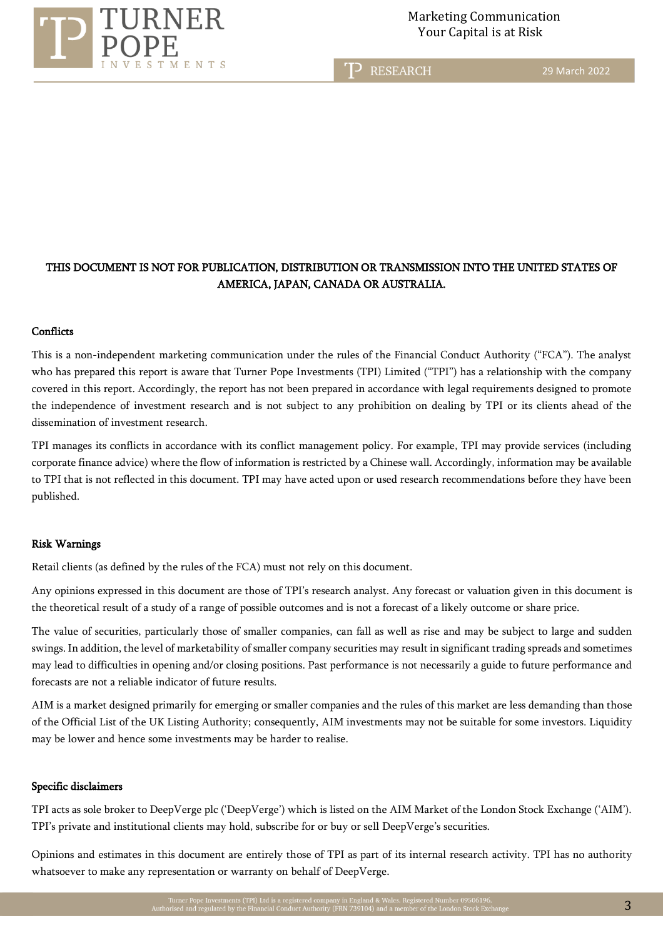

T<sub>2</sub> RESEARCH

29 March 2022

# THIS DOCUMENT IS NOT FOR PUBLICATION, DISTRIBUTION OR TRANSMISSION INTO THE UNITED STATES OF AMERICA, JAPAN, CANADA OR AUSTRALIA.

#### **Conflicts**

This is a non-independent marketing communication under the rules of the Financial Conduct Authority ("FCA"). The analyst who has prepared this report is aware that Turner Pope Investments (TPI) Limited ("TPI") has a relationship with the company covered in this report. Accordingly, the report has not been prepared in accordance with legal requirements designed to promote the independence of investment research and is not subject to any prohibition on dealing by TPI or its clients ahead of the dissemination of investment research.

TPI manages its conflicts in accordance with its conflict management policy. For example, TPI may provide services (including corporate finance advice) where the flow of information is restricted by a Chinese wall. Accordingly, information may be available to TPI that is not reflected in this document. TPI may have acted upon or used research recommendations before they have been published.

#### Risk Warnings

Retail clients (as defined by the rules of the FCA) must not rely on this document.

Any opinions expressed in this document are those of TPI's research analyst. Any forecast or valuation given in this document is the theoretical result of a study of a range of possible outcomes and is not a forecast of a likely outcome or share price.

The value of securities, particularly those of smaller companies, can fall as well as rise and may be subject to large and sudden swings. In addition, the level of marketability of smaller company securities may result in significant trading spreads and sometimes may lead to difficulties in opening and/or closing positions. Past performance is not necessarily a guide to future performance and forecasts are not a reliable indicator of future results.

AIM is a market designed primarily for emerging or smaller companies and the rules of this market are less demanding than those of the Official List of the UK Listing Authority; consequently, AIM investments may not be suitable for some investors. Liquidity may be lower and hence some investments may be harder to realise.

### Specific disclaimers

TPI acts as sole broker to DeepVerge plc ('DeepVerge') which is listed on the AIM Market of the London Stock Exchange ('AIM'). TPI's private and institutional clients may hold, subscribe for or buy or sell DeepVerge's securities.

Opinions and estimates in this document are entirely those of TPI as part of its internal research activity. TPI has no authority whatsoever to make any representation or warranty on behalf of DeepVerge.